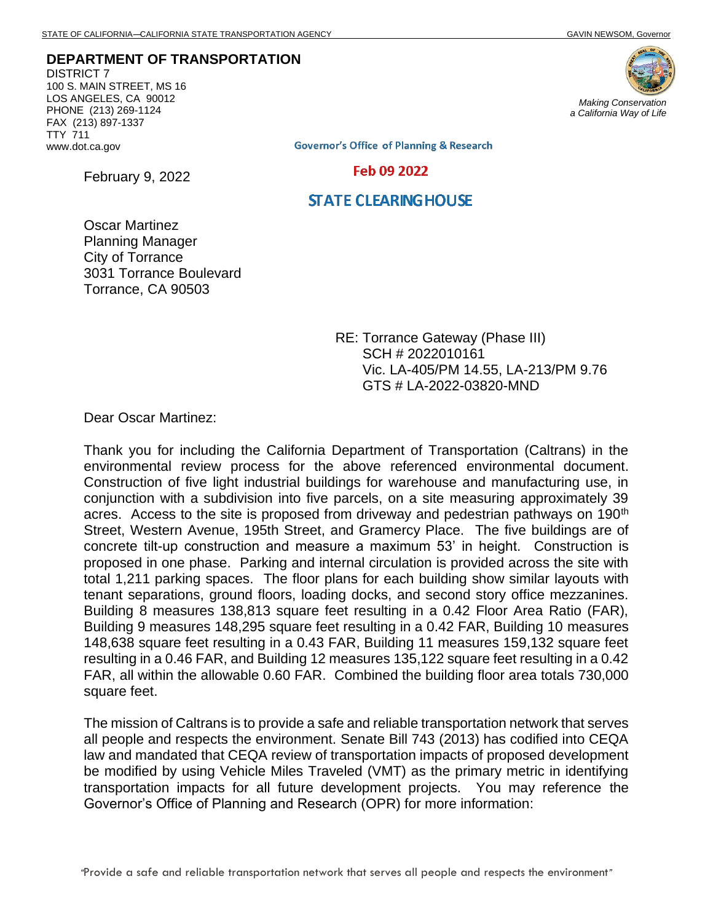**DEPARTMENT OF TRANSPORTATION** DISTRICT 7

100 S. MAIN STREET, MS 16 LOS ANGELES, CA 90012 PHONE (213) 269-1124 FAX (213) 897-1337 TTY 711 www.dot.ca.gov

February 9, 2022



**Governor's Office of Planning & Research** 

Feb 09 2022

## **STATE CLEARING HOUSE**

Oscar Martinez Planning Manager City of Torrance 3031 Torrance Boulevard Torrance, CA 90503

> RE: Torrance Gateway (Phase III) SCH # 2022010161 Vic. LA-405/PM 14.55, LA-213/PM 9.76 GTS # LA-2022-03820-MND

Dear Oscar Martinez:

Thank you for including the California Department of Transportation (Caltrans) in the environmental review process for the above referenced environmental document. Construction of five light industrial buildings for warehouse and manufacturing use, in conjunction with a subdivision into five parcels, on a site measuring approximately 39 acres. Access to the site is proposed from driveway and pedestrian pathways on 190<sup>th</sup> Street, Western Avenue, 195th Street, and Gramercy Place. The five buildings are of concrete tilt-up construction and measure a maximum 53' in height. Construction is proposed in one phase. Parking and internal circulation is provided across the site with total 1,211 parking spaces. The floor plans for each building show similar layouts with tenant separations, ground floors, loading docks, and second story office mezzanines. Building 8 measures 138,813 square feet resulting in a 0.42 Floor Area Ratio (FAR), Building 9 measures 148,295 square feet resulting in a 0.42 FAR, Building 10 measures 148,638 square feet resulting in a 0.43 FAR, Building 11 measures 159,132 square feet resulting in a 0.46 FAR, and Building 12 measures 135,122 square feet resulting in a 0.42 FAR, all within the allowable 0.60 FAR. Combined the building floor area totals 730,000 square feet.

The mission of Caltrans is to provide a safe and reliable transportation network that serves all people and respects the environment. Senate Bill 743 (2013) has codified into CEQA law and mandated that CEQA review of transportation impacts of proposed development be modified by using Vehicle Miles Traveled (VMT) as the primary metric in identifying transportation impacts for all future development projects. You may reference the Governor's Office of Planning and Research (OPR) for more information: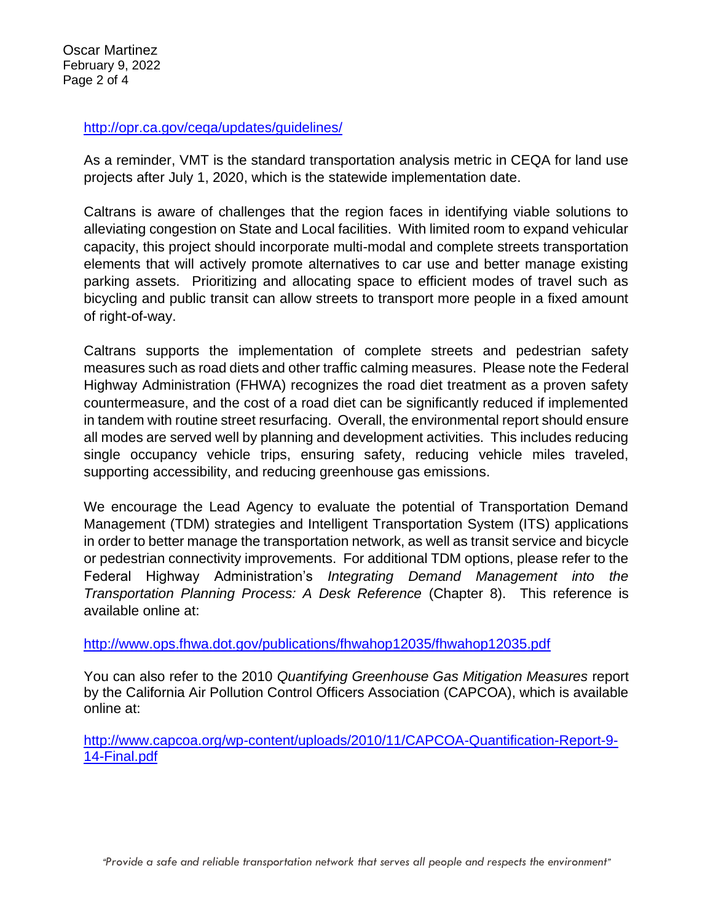Oscar Martinez February 9, 2022 Page 2 of 4

## <http://opr.ca.gov/ceqa/updates/guidelines/>

As a reminder, VMT is the standard transportation analysis metric in CEQA for land use projects after July 1, 2020, which is the statewide implementation date.

Caltrans is aware of challenges that the region faces in identifying viable solutions to alleviating congestion on State and Local facilities. With limited room to expand vehicular capacity, this project should incorporate multi-modal and complete streets transportation elements that will actively promote alternatives to car use and better manage existing parking assets. Prioritizing and allocating space to efficient modes of travel such as bicycling and public transit can allow streets to transport more people in a fixed amount of right-of-way.

Caltrans supports the implementation of complete streets and pedestrian safety measures such as road diets and other traffic calming measures. Please note the Federal Highway Administration (FHWA) recognizes the road diet treatment as a proven safety countermeasure, and the cost of a road diet can be significantly reduced if implemented in tandem with routine street resurfacing. Overall, the environmental report should ensure all modes are served well by planning and development activities. This includes reducing single occupancy vehicle trips, ensuring safety, reducing vehicle miles traveled, supporting accessibility, and reducing greenhouse gas emissions.

We encourage the Lead Agency to evaluate the potential of Transportation Demand Management (TDM) strategies and Intelligent Transportation System (ITS) applications in order to better manage the transportation network, as well as transit service and bicycle or pedestrian connectivity improvements. For additional TDM options, please refer to the Federal Highway Administration's *Integrating Demand Management into the Transportation Planning Process: A Desk Reference* (Chapter 8).This reference is available online at:

<http://www.ops.fhwa.dot.gov/publications/fhwahop12035/fhwahop12035.pdf>

You can also refer to the 2010 *Quantifying Greenhouse Gas Mitigation Measures* report by the California Air Pollution Control Officers Association (CAPCOA), which is available online at:

[http://www.capcoa.org/wp-content/uploads/2010/11/CAPCOA-Quantification-Report-9-](http://www.capcoa.org/wp-content/uploads/2010/11/CAPCOA-Quantification-Report-9-14-Final.pdf) [14-Final.pdf](http://www.capcoa.org/wp-content/uploads/2010/11/CAPCOA-Quantification-Report-9-14-Final.pdf)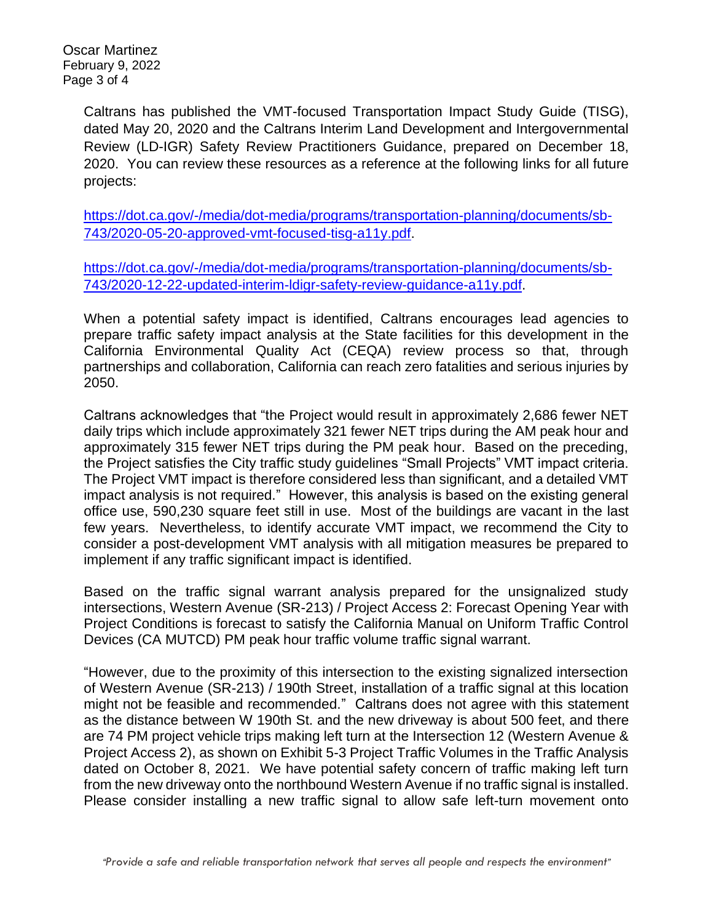Oscar Martinez February 9, 2022 Page 3 of 4

> Caltrans has published the VMT-focused Transportation Impact Study Guide (TISG), dated May 20, 2020 and the Caltrans Interim Land Development and Intergovernmental Review (LD-IGR) Safety Review Practitioners Guidance, prepared on December 18, 2020. You can review these resources as a reference at the following links for all future projects:

[https://dot.ca.gov/-/media/dot-media/programs/transportation-planning/documents/sb-](https://dot.ca.gov/-/media/dot-media/programs/transportation-planning/documents/sb-743/2020-05-20-approved-vmt-focused-tisg-a11y.pdf)[743/2020-05-20-approved-vmt-focused-tisg-a11y.pdf.](https://dot.ca.gov/-/media/dot-media/programs/transportation-planning/documents/sb-743/2020-05-20-approved-vmt-focused-tisg-a11y.pdf)

[https://dot.ca.gov/-/media/dot-media/programs/transportation-planning/documents/sb-](https://dot.ca.gov/-/media/dot-media/programs/transportation-planning/documents/sb-743/2020-12-22-updated-interim-ldigr-safety-review-guidance-a11y.pdf)[743/2020-12-22-updated-interim-ldigr-safety-review-guidance-a11y.pdf.](https://dot.ca.gov/-/media/dot-media/programs/transportation-planning/documents/sb-743/2020-12-22-updated-interim-ldigr-safety-review-guidance-a11y.pdf)

When a potential safety impact is identified, Caltrans encourages lead agencies to prepare traffic safety impact analysis at the State facilities for this development in the California Environmental Quality Act (CEQA) review process so that, through partnerships and collaboration, California can reach zero fatalities and serious injuries by 2050.

Caltrans acknowledges that "the Project would result in approximately 2,686 fewer NET daily trips which include approximately 321 fewer NET trips during the AM peak hour and approximately 315 fewer NET trips during the PM peak hour. Based on the preceding, the Project satisfies the City traffic study guidelines "Small Projects" VMT impact criteria. The Project VMT impact is therefore considered less than significant, and a detailed VMT impact analysis is not required." However, this analysis is based on the existing general office use, 590,230 square feet still in use. Most of the buildings are vacant in the last few years. Nevertheless, to identify accurate VMT impact, we recommend the City to consider a post-development VMT analysis with all mitigation measures be prepared to implement if any traffic significant impact is identified.

Based on the traffic signal warrant analysis prepared for the unsignalized study intersections, Western Avenue (SR-213) / Project Access 2: Forecast Opening Year with Project Conditions is forecast to satisfy the California Manual on Uniform Traffic Control Devices (CA MUTCD) PM peak hour traffic volume traffic signal warrant.

"However, due to the proximity of this intersection to the existing signalized intersection of Western Avenue (SR-213) / 190th Street, installation of a traffic signal at this location might not be feasible and recommended." Caltrans does not agree with this statement as the distance between W 190th St. and the new driveway is about 500 feet, and there are 74 PM project vehicle trips making left turn at the Intersection 12 (Western Avenue & Project Access 2), as shown on Exhibit 5-3 Project Traffic Volumes in the Traffic Analysis dated on October 8, 2021. We have potential safety concern of traffic making left turn from the new driveway onto the northbound Western Avenue if no traffic signal is installed. Please consider installing a new traffic signal to allow safe left-turn movement onto